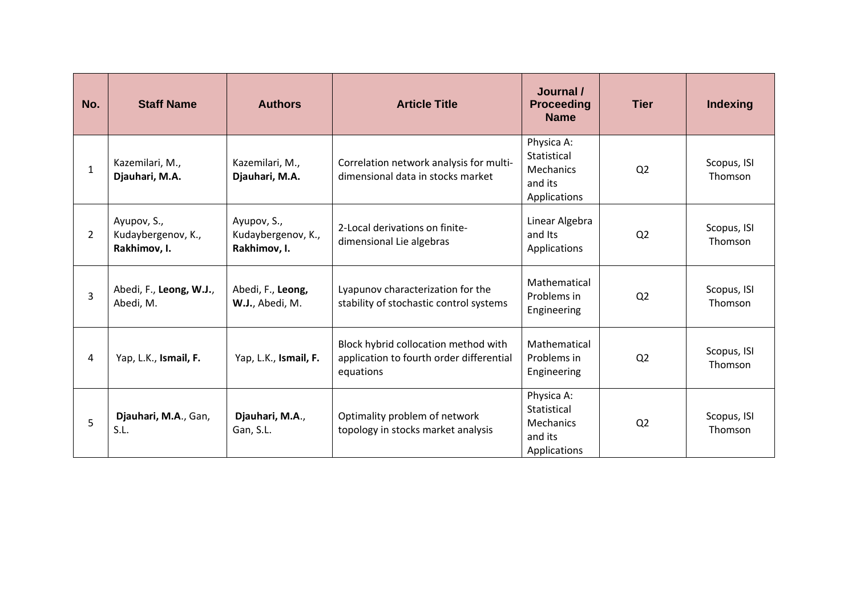| No.            | <b>Staff Name</b>                                 | <b>Authors</b>                                    | <b>Article Title</b>                                                                          | Journal /<br><b>Proceeding</b><br><b>Name</b>                            | <b>Tier</b>    | <b>Indexing</b>        |
|----------------|---------------------------------------------------|---------------------------------------------------|-----------------------------------------------------------------------------------------------|--------------------------------------------------------------------------|----------------|------------------------|
| $\mathbf{1}$   | Kazemilari, M.,<br>Djauhari, M.A.                 | Kazemilari, M.,<br>Djauhari, M.A.                 | Correlation network analysis for multi-<br>dimensional data in stocks market                  | Physica A:<br>Statistical<br><b>Mechanics</b><br>and its<br>Applications | Q <sub>2</sub> | Scopus, ISI<br>Thomson |
| $\overline{2}$ | Ayupov, S.,<br>Kudaybergenov, K.,<br>Rakhimov, I. | Ayupov, S.,<br>Kudaybergenov, K.,<br>Rakhimov, I. | 2-Local derivations on finite-<br>dimensional Lie algebras                                    | Linear Algebra<br>and Its<br>Applications                                | Q <sub>2</sub> | Scopus, ISI<br>Thomson |
| 3              | Abedi, F., Leong, W.J.,<br>Abedi, M.              | Abedi, F., Leong,<br>W.J., Abedi, M.              | Lyapunov characterization for the<br>stability of stochastic control systems                  | Mathematical<br>Problems in<br>Engineering                               | Q <sub>2</sub> | Scopus, ISI<br>Thomson |
| 4              | Yap, L.K., Ismail, F.                             | Yap, L.K., Ismail, F.                             | Block hybrid collocation method with<br>application to fourth order differential<br>equations | Mathematical<br>Problems in<br>Engineering                               | Q <sub>2</sub> | Scopus, ISI<br>Thomson |
| 5              | Djauhari, M.A., Gan,<br>S.L.                      | Djauhari, M.A.,<br>Gan, S.L.                      | Optimality problem of network<br>topology in stocks market analysis                           | Physica A:<br>Statistical<br><b>Mechanics</b><br>and its<br>Applications | Q <sub>2</sub> | Scopus, ISI<br>Thomson |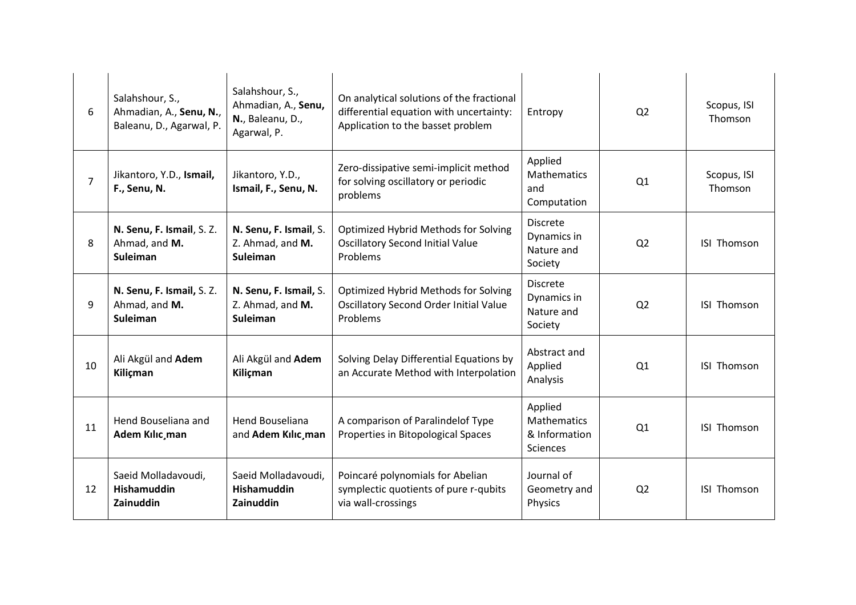| 6              | Salahshour, S.,<br>Ahmadian, A., Senu, N.,<br>Baleanu, D., Agarwal, P. | Salahshour, S.,<br>Ahmadian, A., Senu,<br>N., Baleanu, D.,<br>Agarwal, P. | On analytical solutions of the fractional<br>differential equation with uncertainty:<br>Application to the basset problem | Entropy                                                    | Q <sub>2</sub> | Scopus, ISI<br>Thomson |
|----------------|------------------------------------------------------------------------|---------------------------------------------------------------------------|---------------------------------------------------------------------------------------------------------------------------|------------------------------------------------------------|----------------|------------------------|
| $\overline{7}$ | Jikantoro, Y.D., Ismail,<br>F., Senu, N.                               | Jikantoro, Y.D.,<br>Ismail, F., Senu, N.                                  | Zero-dissipative semi-implicit method<br>for solving oscillatory or periodic<br>problems                                  | Applied<br><b>Mathematics</b><br>and<br>Computation        | Q1             | Scopus, ISI<br>Thomson |
| 8              | N. Senu, F. Ismail, S. Z.<br>Ahmad, and M.<br><b>Suleiman</b>          | N. Senu, F. Ismail, S.<br>Z. Ahmad, and M.<br><b>Suleiman</b>             | <b>Optimized Hybrid Methods for Solving</b><br><b>Oscillatory Second Initial Value</b><br>Problems                        | <b>Discrete</b><br>Dynamics in<br>Nature and<br>Society    | Q <sub>2</sub> | ISI Thomson            |
| 9              | N. Senu, F. Ismail, S. Z.<br>Ahmad, and M.<br><b>Suleiman</b>          | N. Senu, F. Ismail, S.<br>Z. Ahmad, and M.<br><b>Suleiman</b>             | Optimized Hybrid Methods for Solving<br><b>Oscillatory Second Order Initial Value</b><br>Problems                         | <b>Discrete</b><br>Dynamics in<br>Nature and<br>Society    | Q2             | ISI Thomson            |
| 10             | Ali Akgül and Adem<br>Kiliçman                                         | Ali Akgül and Adem<br>Kiliçman                                            | Solving Delay Differential Equations by<br>an Accurate Method with Interpolation                                          | Abstract and<br>Applied<br>Analysis                        | Q1             | <b>ISI Thomson</b>     |
| 11             | Hend Bouseliana and<br>Adem Kılıc man                                  | <b>Hend Bouseliana</b><br>and Adem Kilic, man                             | A comparison of Paralindelof Type<br>Properties in Bitopological Spaces                                                   | Applied<br><b>Mathematics</b><br>& Information<br>Sciences | Q1             | ISI Thomson            |
| 12             | Saeid Molladavoudi,<br>Hishamuddin<br>Zainuddin                        | Saeid Molladavoudi,<br><b>Hishamuddin</b><br><b>Zainuddin</b>             | Poincaré polynomials for Abelian<br>symplectic quotients of pure r-qubits<br>via wall-crossings                           | Journal of<br>Geometry and<br>Physics                      | Q <sub>2</sub> | ISI Thomson            |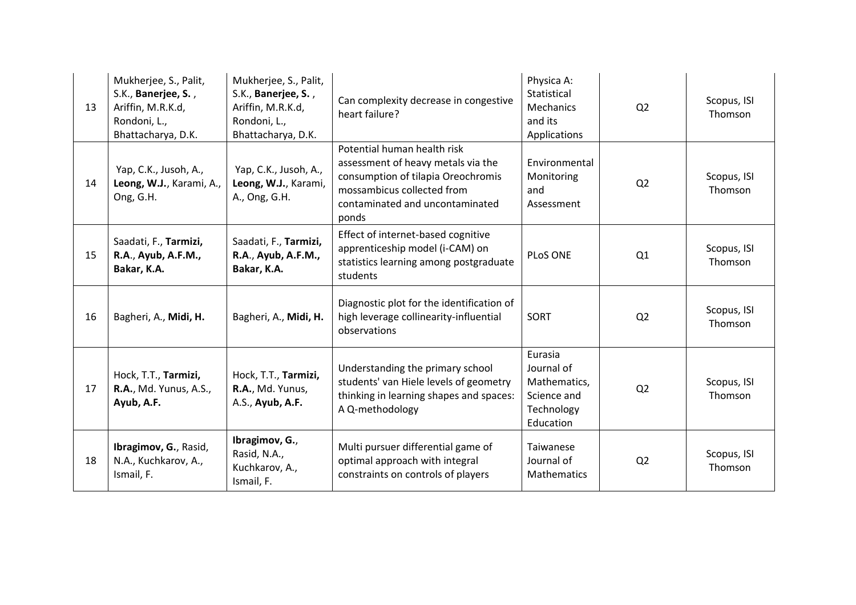| 13 | Mukherjee, S., Palit,<br>S.K., Banerjee, S.,<br>Ariffin, M.R.K.d,<br>Rondoni, L.,<br>Bhattacharya, D.K. | Mukherjee, S., Palit,<br>S.K., Banerjee, S.,<br>Ariffin, M.R.K.d,<br>Rondoni, L.,<br>Bhattacharya, D.K. | Can complexity decrease in congestive<br>heart failure?                                                                                                                           | Physica A:<br>Statistical<br><b>Mechanics</b><br>and its<br>Applications        | Q <sub>2</sub> | Scopus, ISI<br>Thomson |
|----|---------------------------------------------------------------------------------------------------------|---------------------------------------------------------------------------------------------------------|-----------------------------------------------------------------------------------------------------------------------------------------------------------------------------------|---------------------------------------------------------------------------------|----------------|------------------------|
| 14 | Yap, C.K., Jusoh, A.,<br>Leong, W.J., Karami, A.,<br>Ong, G.H.                                          | Yap, C.K., Jusoh, A.,<br>Leong, W.J., Karami,<br>A., Ong, G.H.                                          | Potential human health risk<br>assessment of heavy metals via the<br>consumption of tilapia Oreochromis<br>mossambicus collected from<br>contaminated and uncontaminated<br>ponds | Environmental<br>Monitoring<br>and<br>Assessment                                | Q <sub>2</sub> | Scopus, ISI<br>Thomson |
| 15 | Saadati, F., Tarmizi,<br>R.A., Ayub, A.F.M.,<br>Bakar, K.A.                                             | Saadati, F., Tarmizi,<br>R.A., Ayub, A.F.M.,<br>Bakar, K.A.                                             | Effect of internet-based cognitive<br>apprenticeship model (i-CAM) on<br>statistics learning among postgraduate<br>students                                                       | PLoS ONE                                                                        | Q1             | Scopus, ISI<br>Thomson |
| 16 | Bagheri, A., Midi, H.                                                                                   | Bagheri, A., Midi, H.                                                                                   | Diagnostic plot for the identification of<br>high leverage collinearity-influential<br>observations                                                                               | <b>SORT</b>                                                                     | Q <sub>2</sub> | Scopus, ISI<br>Thomson |
| 17 | Hock, T.T., Tarmizi,<br>R.A., Md. Yunus, A.S.,<br>Ayub, A.F.                                            | Hock, T.T., Tarmizi,<br>R.A., Md. Yunus,<br>A.S., Ayub, A.F.                                            | Understanding the primary school<br>students' van Hiele levels of geometry<br>thinking in learning shapes and spaces:<br>A Q-methodology                                          | Eurasia<br>Journal of<br>Mathematics,<br>Science and<br>Technology<br>Education | Q2             | Scopus, ISI<br>Thomson |
| 18 | Ibragimov, G., Rasid,<br>N.A., Kuchkarov, A.,<br>Ismail, F.                                             | Ibragimov, G.,<br>Rasid, N.A.,<br>Kuchkarov, A.,<br>Ismail, F.                                          | Multi pursuer differential game of<br>optimal approach with integral<br>constraints on controls of players                                                                        | Taiwanese<br>Journal of<br><b>Mathematics</b>                                   | Q <sub>2</sub> | Scopus, ISI<br>Thomson |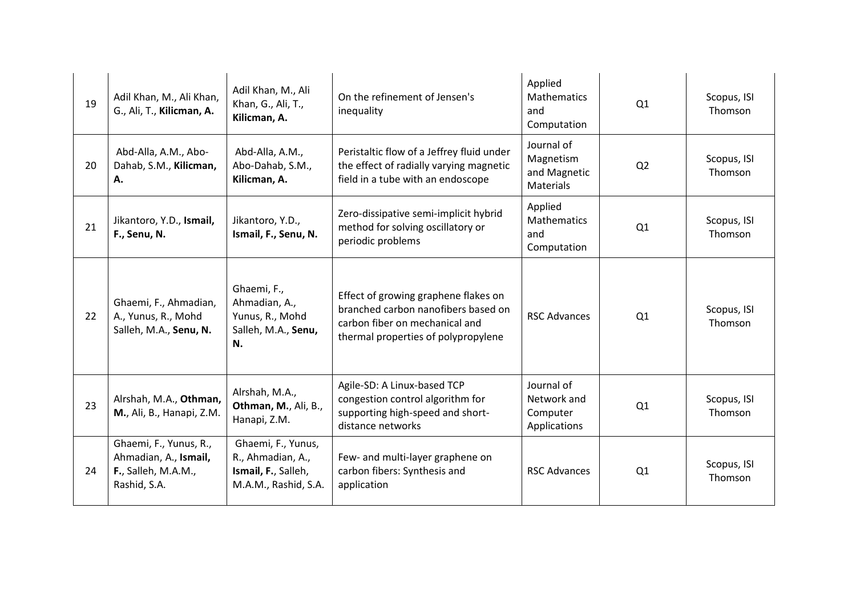| 19 | Adil Khan, M., Ali Khan,<br>G., Ali, T., Kilicman, A.                                          | Adil Khan, M., Ali<br>Khan, G., Ali, T.,<br>Kilicman, A.                               | On the refinement of Jensen's<br>inequality                                                                                                          | Applied<br><b>Mathematics</b><br>and<br>Computation         | Q1             | Scopus, ISI<br>Thomson |
|----|------------------------------------------------------------------------------------------------|----------------------------------------------------------------------------------------|------------------------------------------------------------------------------------------------------------------------------------------------------|-------------------------------------------------------------|----------------|------------------------|
| 20 | Abd-Alla, A.M., Abo-<br>Dahab, S.M., Kilicman,<br>Α.                                           | Abd-Alla, A.M.,<br>Abo-Dahab, S.M.,<br>Kilicman, A.                                    | Peristaltic flow of a Jeffrey fluid under<br>the effect of radially varying magnetic<br>field in a tube with an endoscope                            | Journal of<br>Magnetism<br>and Magnetic<br><b>Materials</b> | Q <sub>2</sub> | Scopus, ISI<br>Thomson |
| 21 | Jikantoro, Y.D., Ismail,<br>F., Senu, N.                                                       | Jikantoro, Y.D.,<br>Ismail, F., Senu, N.                                               | Zero-dissipative semi-implicit hybrid<br>method for solving oscillatory or<br>periodic problems                                                      | Applied<br><b>Mathematics</b><br>and<br>Computation         | Q1             | Scopus, ISI<br>Thomson |
| 22 | Ghaemi, F., Ahmadian,<br>A., Yunus, R., Mohd<br>Salleh, M.A., Senu, N.                         | Ghaemi, F.,<br>Ahmadian, A.,<br>Yunus, R., Mohd<br>Salleh, M.A., Senu,<br>N.           | Effect of growing graphene flakes on<br>branched carbon nanofibers based on<br>carbon fiber on mechanical and<br>thermal properties of polypropylene | <b>RSC Advances</b>                                         | Q1             | Scopus, ISI<br>Thomson |
| 23 | Alrshah, M.A., Othman,<br>M., Ali, B., Hanapi, Z.M.                                            | Alrshah, M.A.,<br>Othman, M., Ali, B.,<br>Hanapi, Z.M.                                 | Agile-SD: A Linux-based TCP<br>congestion control algorithm for<br>supporting high-speed and short-<br>distance networks                             | Journal of<br>Network and<br>Computer<br>Applications       | Q1             | Scopus, ISI<br>Thomson |
| 24 | Ghaemi, F., Yunus, R.,<br>Ahmadian, A., Ismail,<br><b>F.</b> , Salleh, M.A.M.,<br>Rashid, S.A. | Ghaemi, F., Yunus,<br>R., Ahmadian, A.,<br>Ismail, F., Salleh,<br>M.A.M., Rashid, S.A. | Few- and multi-layer graphene on<br>carbon fibers: Synthesis and<br>application                                                                      | <b>RSC Advances</b>                                         | Q1             | Scopus, ISI<br>Thomson |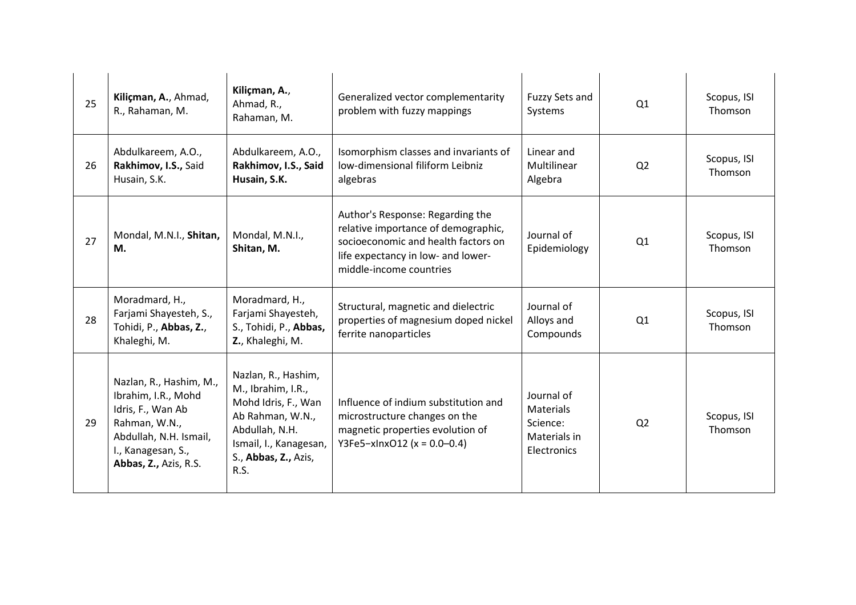| 25 | Kiliçman, A., Ahmad,<br>R., Rahaman, M.                                                                                                                       | Kiliçman, A.,<br>Ahmad, R.,<br>Rahaman, M.                                                                                                                       | Generalized vector complementarity<br>problem with fuzzy mappings                                                                                                               | Fuzzy Sets and<br>Systems                                          | Q1             | Scopus, ISI<br>Thomson |
|----|---------------------------------------------------------------------------------------------------------------------------------------------------------------|------------------------------------------------------------------------------------------------------------------------------------------------------------------|---------------------------------------------------------------------------------------------------------------------------------------------------------------------------------|--------------------------------------------------------------------|----------------|------------------------|
| 26 | Abdulkareem, A.O.,<br>Rakhimov, I.S., Said<br>Husain, S.K.                                                                                                    | Abdulkareem, A.O.,<br>Rakhimov, I.S., Said<br>Husain, S.K.                                                                                                       | Isomorphism classes and invariants of<br>low-dimensional filiform Leibniz<br>algebras                                                                                           | Linear and<br>Multilinear<br>Algebra                               | Q <sub>2</sub> | Scopus, ISI<br>Thomson |
| 27 | Mondal, M.N.I., Shitan,<br>М.                                                                                                                                 | Mondal, M.N.I.,<br>Shitan, M.                                                                                                                                    | Author's Response: Regarding the<br>relative importance of demographic,<br>socioeconomic and health factors on<br>life expectancy in low- and lower-<br>middle-income countries | Journal of<br>Epidemiology                                         | Q1             | Scopus, ISI<br>Thomson |
| 28 | Moradmard, H.,<br>Farjami Shayesteh, S.,<br>Tohidi, P., Abbas, Z.,<br>Khaleghi, M.                                                                            | Moradmard, H.,<br>Farjami Shayesteh,<br>S., Tohidi, P., Abbas,<br>Z., Khaleghi, M.                                                                               | Structural, magnetic and dielectric<br>properties of magnesium doped nickel<br>ferrite nanoparticles                                                                            | Journal of<br>Alloys and<br>Compounds                              | Q1             | Scopus, ISI<br>Thomson |
| 29 | Nazlan, R., Hashim, M.,<br>Ibrahim, I.R., Mohd<br>Idris, F., Wan Ab<br>Rahman, W.N.,<br>Abdullah, N.H. Ismail,<br>I., Kanagesan, S.,<br>Abbas, Z., Azis, R.S. | Nazlan, R., Hashim,<br>M., Ibrahim, I.R.,<br>Mohd Idris, F., Wan<br>Ab Rahman, W.N.,<br>Abdullah, N.H.<br>Ismail, I., Kanagesan,<br>S., Abbas, Z., Azis,<br>R.S. | Influence of indium substitution and<br>microstructure changes on the<br>magnetic properties evolution of<br>Y3Fe5-xInxO12 ( $x = 0.0 - 0.4$ )                                  | Journal of<br>Materials<br>Science:<br>Materials in<br>Electronics | Q <sub>2</sub> | Scopus, ISI<br>Thomson |